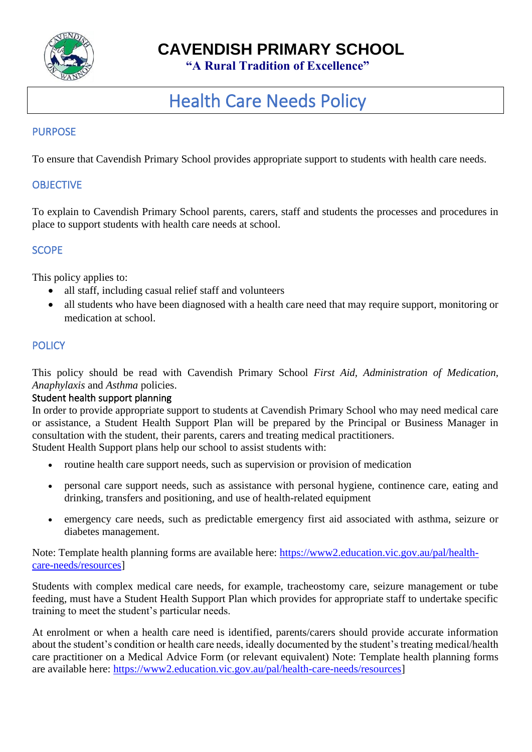

# **CAVENDISH PRIMARY SCHOOL**

 **"A Rural Tradition of Excellence"**

# Health Care Needs Policy

# PURPOSE

To ensure that Cavendish Primary School provides appropriate support to students with health care needs.

# **OBJECTIVE**

To explain to Cavendish Primary School parents, carers, staff and students the processes and procedures in place to support students with health care needs at school.

## **SCOPE**

This policy applies to:

- all staff, including casual relief staff and volunteers
- all students who have been diagnosed with a health care need that may require support, monitoring or medication at school.

#### **POLICY**

This policy should be read with Cavendish Primary School *First Aid, Administration of Medication, Anaphylaxis* and *Asthma* policies.

## Student health support planning

In order to provide appropriate support to students at Cavendish Primary School who may need medical care or assistance, a Student Health Support Plan will be prepared by the Principal or Business Manager in consultation with the student, their parents, carers and treating medical practitioners. Student Health Support plans help our school to assist students with:

- routine health care support needs, such as supervision or provision of medication
- personal care support needs, such as assistance with personal hygiene, continence care, eating and drinking, transfers and positioning, and use of health-related equipment
- emergency care needs, such as predictable emergency first aid associated with asthma, seizure or diabetes management.

Note: Template health planning forms are available here: [https://www2.education.vic.gov.au/pal/health](https://www2.education.vic.gov.au/pal/health-care-needs/resources)[care-needs/resources\]](https://www2.education.vic.gov.au/pal/health-care-needs/resources)

Students with complex medical care needs, for example, tracheostomy care, seizure management or tube feeding, must have a Student Health Support Plan which provides for appropriate staff to undertake specific training to meet the student's particular needs.

At enrolment or when a health care need is identified, parents/carers should provide accurate information about the student's condition or health care needs, ideally documented by the student's treating medical/health care practitioner on a Medical Advice Form (or relevant equivalent) Note: Template health planning forms are available here: [https://www2.education.vic.gov.au/pal/health-care-needs/resources\]](https://www2.education.vic.gov.au/pal/health-care-needs/resources)